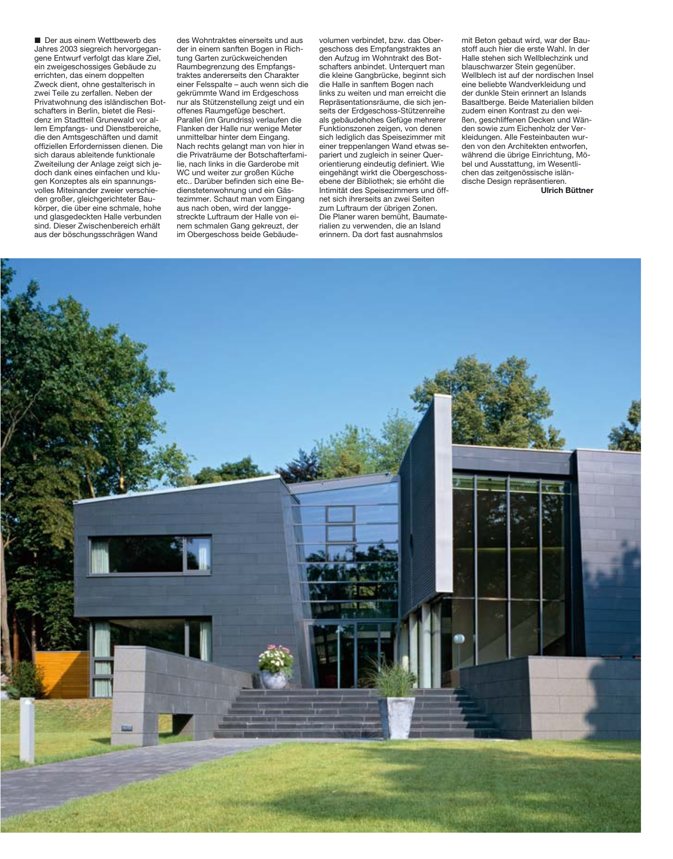**Der aus einem Wettbewerb des** Jahres 2003 siegreich hervorgegangene Entwurf verfolgt das klare Ziel, ein zweigeschossiges Gebäude zu errichten, das einem doppelten Zweck dient, ohne gestalterisch in zwei Teile zu zerfallen. Neben der Privatwohnung des isländischen Botschafters in Berlin, bietet die Residenz im Stadtteil Grunewald vor allem Empfangs- und Dienstbereiche, die den Amtsgeschäften und damit offiziellen Erfordernissen dienen. Die sich daraus ableitende funktionale Zweiteilung der Anlage zeigt sich jedoch dank eines einfachen und klugen Konzeptes als ein spannungsvolles Miteinander zweier verschieden großer, gleichgerichteter Baukörper, die über eine schmale, hohe und glasgedeckten Halle verbunden sind. Dieser Zwischenbereich erhält aus der böschungsschrägen Wand

des Wohntraktes einerseits und aus der in einem sanften Bogen in Richtung Garten zurückweichenden Raumbegrenzung des Empfangstraktes andererseits den Charakter einer Felsspalte – auch wenn sich die gekrümmte Wand im Erdgeschoss nur als Stützenstellung zeigt und ein offenes Raumgefüge beschert. Parallel (im Grundriss) verlaufen die Flanken der Halle nur wenige Meter unmittelbar hinter dem Eingang. Nach rechts gelangt man von hier in die Privaträume der Botschafterfamilie, nach links in die Garderobe mit WC und weiter zur großen Küche etc.. Darüber befinden sich eine Bedienstetenwohnung und ein Gästezimmer. Schaut man vom Eingang aus nach oben, wird der langgestreckte Luftraum der Halle von einem schmalen Gang gekreuzt, der im Obergeschoss beide Gebäudevolumen verbindet, bzw. das Obergeschoss des Empfangstraktes an den Aufzug im Wohntrakt des Botschafters anbindet. Unterquert man die kleine Gangbrücke, beginnt sich die Halle in sanftem Bogen nach links zu weiten und man erreicht die Repräsentationsräume, die sich jenseits der Erdgeschoss-Stützenreihe als gebäudehohes Gefüge mehrerer Funktionszonen zeigen, von denen sich lediglich das Speisezimmer mit einer treppenlangen Wand etwas separiert und zugleich in seiner Querorientierung eindeutig definiert. Wie eingehängt wirkt die Obergeschossebene der Bibliothek; sie erhöht die Intimität des Speisezimmers und öffnet sich ihrerseits an zwei Seiten zum Luftraum der übrigen Zonen. Die Planer waren bemüht, Baumaterialien zu verwenden, die an Island erinnern. Da dort fast ausnahmslos

mit Beton gebaut wird, war der Baustoff auch hier die erste Wahl. In der Halle stehen sich Wellblechzink und blauschwarzer Stein gegenüber. Wellblech ist auf der nordischen Insel eine beliebte Wandverkleidung und der dunkle Stein erinnert an Islands Basaltberge. Beide Materialien bilden zudem einen Kontrast zu den weißen, geschliffenen Decken und Wänden sowie zum Eichenholz der Verkleidungen. Alle Festeinbauten wurden von den Architekten entworfen, während die übrige Einrichtung, Möbel und Ausstattung, im Wesentlichen das zeitgenössische isländische Design repräsentieren.

**Ulrich Büttner**

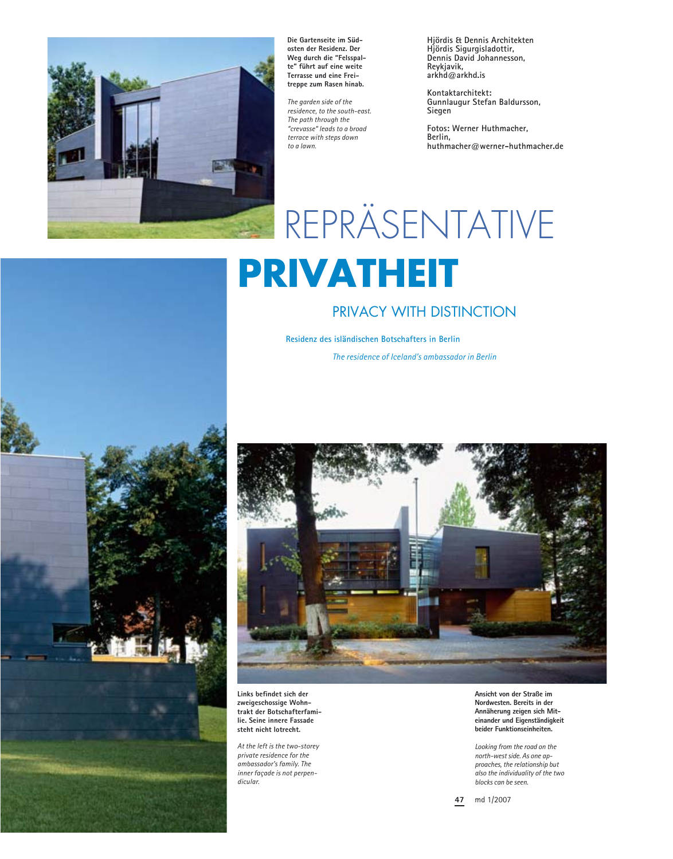

**Die Gartenseite im Südosten der Residenz. Der Weg durch die "Felsspalte" führt auf eine weite Terrasse und eine Freitreppe zum Rasen hinab.** 

*The garden side of the residence, to the south-east. The path through the "crevasse" leads to a broad terrace with steps down to a lawn.* 

**Hjördis & Dennis Architekten Hjördis Sigurgisladottir, Dennis David Johannesson, Reykjavik, arkhd@arkhd.is** 

**Kontaktarchitekt: Gunnlaugur Stefan Baldursson, Siegen** 

**Fotos: Werner Huthmacher, Berlin, huthmacher@werner-huthmacher.de** 

## **REPRÄSENTATIVE PRIVATHEIT**

## PRIVACY WITH DISTINCTION

**Residenz des isländischen Botschafters in Berlin** *The residence of Iceland's ambassador in Berlin*



**Links befindet sich der zweigeschossige Wohntrakt der Botschafterfamilie. Seine innere Fassade steht nicht lotrecht.** 

*At the left is the two-storey private residence for the ambassador's family. The inner façade is not perpendicular.* 

**Ansicht von der Straße im Nordwesten. Bereits in der Annäherung zeigen sich Miteinander und Eigenständigkeit beider Funktionseinheiten.** 

*Looking from the road on the north-west side. As one approaches, the relationship but also the individuality of the two blocks can be seen.* 

**47** md 1/2007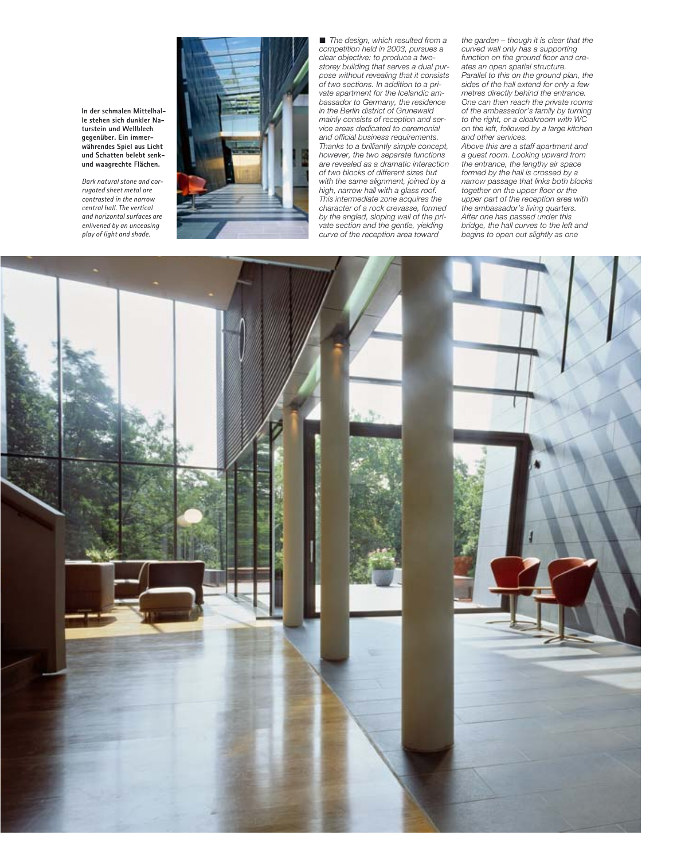**In der schmalen Mittelhalle stehen sich dunkler Naturstein und Wellblech gegenüber. Ein immerwährendes Spiel aus Licht und Schatten belebt senkund waagrechte Flächen.** 

*Dark natural stone and corrugated sheet metal are contrasted in the narrow central hall. The vertical and horizontal surfaces are enlivened by an unceasing play of light and shade.* 



! *The design, which resulted from a competition held in 2003, pursues a clear objective: to produce a twostorey building that serves a dual purpose without revealing that it consists of two sections. In addition to a private apartment for the Icelandic ambassador to Germany, the residence in the Berlin district of Grunewald mainly consists of reception and service areas dedicated to ceremonial and official business requirements. Thanks to a brilliantly simple concept, however, the two separate functions are revealed as a dramatic interaction of two blocks of different sizes but with the same alignment, joined by a high, narrow hall with a glass roof. This intermediate zone acquires the character of a rock crevasse, formed by the angled, sloping wall of the private section and the gentle, yielding curve of the reception area toward* 

*the garden – though it is clear that the curved wall only has a supporting function on the ground floor and creates an open spatial structure. Parallel to this on the ground plan, the sides of the hall extend for only a few metres directly behind the entrance. One can then reach the private rooms of the ambassador's family by turning to the right, or a cloakroom with WC on the left, followed by a large kitchen and other services.* 

*Above this are a staff apartment and a guest room. Looking upward from the entrance, the lengthy air space formed by the hall is crossed by a narrow passage that links both blocks together on the upper floor or the upper part of the reception area with the ambassador's living quarters. After one has passed under this bridge, the hall curves to the left and begins to open out slightly as one* 

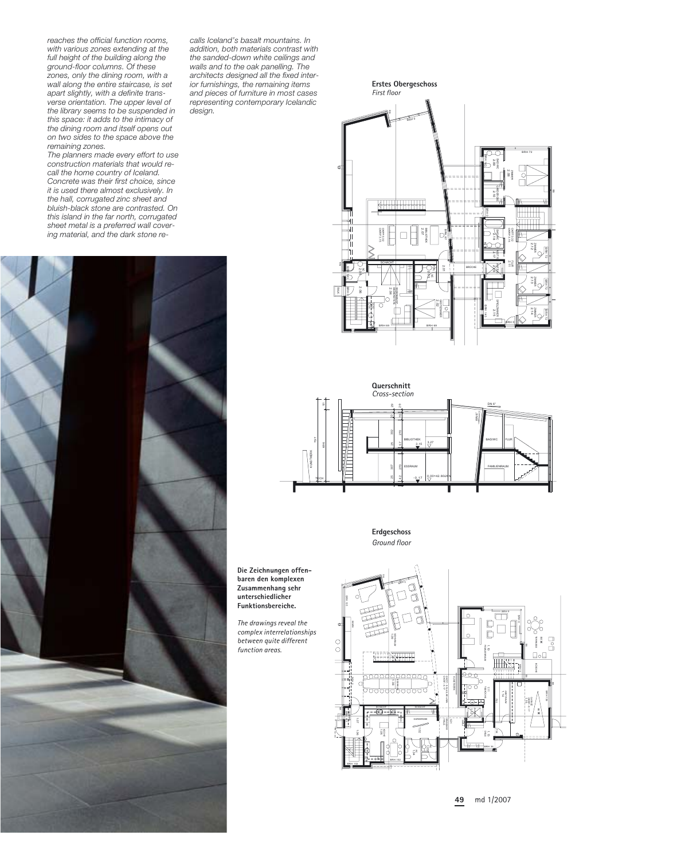*reaches the official function rooms, with various zones extending at the full height of the building along the ground-floor columns. Of these zones, only the dining room, with a wall along the entire staircase, is set apart slightly, with a definite transverse orientation. The upper level of the library seems to be suspended in this space: it adds to the intimacy of the dining room and itself opens out on two sides to the space above the remaining zones.* 

*The planners made every effort to use construction materials that would recall the home country of Iceland. Concrete was their first choice, since it is used there almost exclusively. In the hall, corrugated zinc sheet and bluish-black stone are contrasted. On this island in the far north, corrugated sheet metal is a preferred wall covering material, and the dark stone re-*



*calls Iceland's basalt mountains. In addition, both materials contrast with the sanded-down white ceilings and walls and to the oak panelling. The architects designed all the fixed interior furnishings, the remaining items and pieces of furniture in most cases representing contemporary Icelandic design.* 





**Erdgeschoss** *Ground floor*



**49** md 1/2007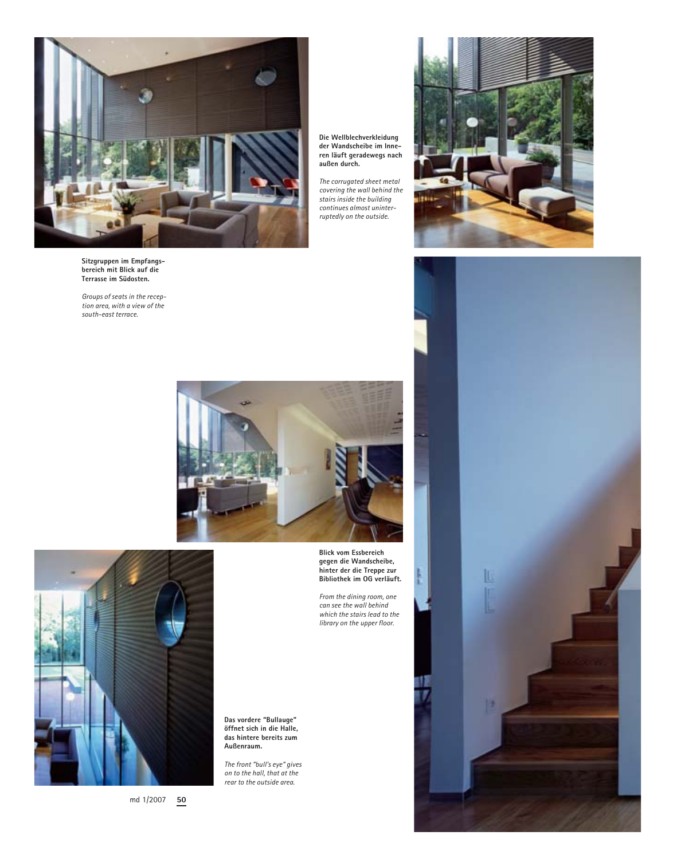

**Sitzgruppen im Empfangsbereich mit Blick auf die Terrasse im Südosten.** 

*Groups of seats in the reception area, with a view of the south-east terrace.* 





md 1/2007 **50**

**Blick vom Essbereich gegen die Wandscheibe, hinter der die Treppe zur Bibliothek im OG verläuft.** 

*The corrugated sheet metal covering the wall behind the stairs inside the building continues almost uninterruptedly on the outside.* 

*From the dining room, one can see the wall behind which the stairs lead to the library on the upper floor.* 

**Das vordere "Bullauge" öffnet sich in die Halle, das hintere bereits zum Außenraum.** 

*The front "bull's eye" gives on to the hall, that at the rear to the outside area.*